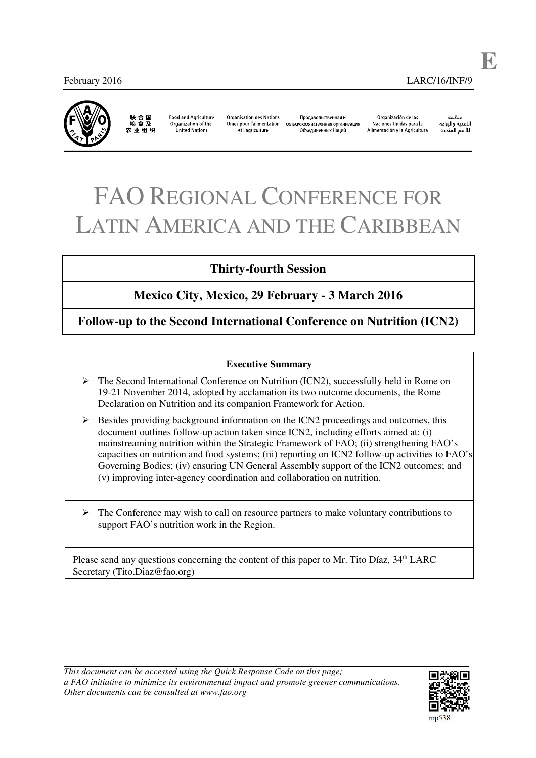

联合国<br>粮食及 农 业 组 织

**Food and Agriculture** Organization of the **United Nations** 

Organisation des Nations Unies pour l'alimentation et l'agriculture

Проловольственная и редовольственная организация».<br>Сельскохозяйственная организация Объелиненных Наший

Organización de las Naciones Unidas para la Alimentación y la Agricultura

منظمة الأغذية والزراعة للأمم المتحدة **E**

# FAO REGIONAL CONFERENCE FOR LATIN AMERICA AND THE CARIBBEAN

# **Thirty-fourth Session**

# **Mexico City, Mexico, 29 February - 3 March 2016**

**Follow-up to the Second International Conference on Nutrition (ICN2)** 

#### **Executive Summary**

- $\triangleright$  The Second International Conference on Nutrition (ICN2), successfully held in Rome on 19-21 November 2014, adopted by acclamation its two outcome documents, the Rome Declaration on Nutrition and its companion Framework for Action.
- $\triangleright$  Besides providing background information on the ICN2 proceedings and outcomes, this document outlines follow-up action taken since ICN2, including efforts aimed at: (i) mainstreaming nutrition within the Strategic Framework of FAO; (ii) strengthening FAO's capacities on nutrition and food systems; (iii) reporting on ICN2 follow-up activities to FAO's Governing Bodies; (iv) ensuring UN General Assembly support of the ICN2 outcomes; and (v) improving inter-agency coordination and collaboration on nutrition.
- $\triangleright$  The Conference may wish to call on resource partners to make voluntary contributions to support FAO's nutrition work in the Region.

Please send any questions concerning the content of this paper to Mr. Tito Díaz, 34<sup>th</sup> LARC Secretary (Tito.Diaz@fao.org)

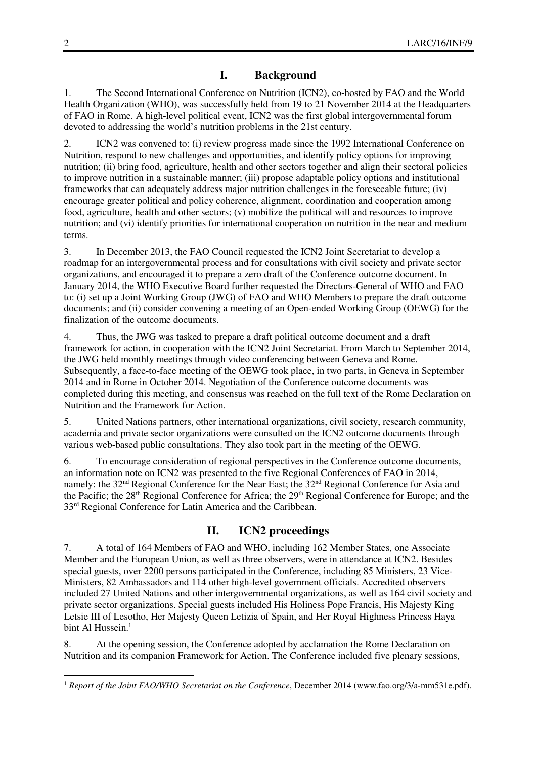## **I. Background**

1. The Second International Conference on Nutrition (ICN2), co-hosted by FAO and the World Health Organization (WHO), was successfully held from 19 to 21 November 2014 at the Headquarters of FAO in Rome. A high-level political event, ICN2 was the first global intergovernmental forum devoted to addressing the world's nutrition problems in the 21st century.

2. ICN2 was convened to: (i) review progress made since the 1992 International Conference on Nutrition, respond to new challenges and opportunities, and identify policy options for improving nutrition; (ii) bring food, agriculture, health and other sectors together and align their sectoral policies to improve nutrition in a sustainable manner; (iii) propose adaptable policy options and institutional frameworks that can adequately address major nutrition challenges in the foreseeable future; (iv) encourage greater political and policy coherence, alignment, coordination and cooperation among food, agriculture, health and other sectors; (v) mobilize the political will and resources to improve nutrition; and (vi) identify priorities for international cooperation on nutrition in the near and medium terms.

3. In December 2013, the FAO Council requested the ICN2 Joint Secretariat to develop a roadmap for an intergovernmental process and for consultations with civil society and private sector organizations, and encouraged it to prepare a zero draft of the Conference outcome document. In January 2014, the WHO Executive Board further requested the Directors-General of WHO and FAO to: (i) set up a Joint Working Group (JWG) of FAO and WHO Members to prepare the draft outcome documents; and (ii) consider convening a meeting of an Open-ended Working Group (OEWG) for the finalization of the outcome documents.

4. Thus, the JWG was tasked to prepare a draft political outcome document and a draft framework for action, in cooperation with the ICN2 Joint Secretariat. From March to September 2014, the JWG held monthly meetings through video conferencing between Geneva and Rome. Subsequently, a face-to-face meeting of the OEWG took place, in two parts, in Geneva in September 2014 and in Rome in October 2014. Negotiation of the Conference outcome documents was completed during this meeting, and consensus was reached on the full text of the Rome Declaration on Nutrition and the Framework for Action.

5. United Nations partners, other international organizations, civil society, research community, academia and private sector organizations were consulted on the ICN2 outcome documents through various web-based public consultations. They also took part in the meeting of the OEWG.

6. To encourage consideration of regional perspectives in the Conference outcome documents, an information note on ICN2 was presented to the five Regional Conferences of FAO in 2014, namely: the 32<sup>nd</sup> Regional Conference for the Near East; the 32<sup>nd</sup> Regional Conference for Asia and the Pacific; the 28<sup>th</sup> Regional Conference for Africa; the 29<sup>th</sup> Regional Conference for Europe; and the 33rd Regional Conference for Latin America and the Caribbean.

## **II. ICN2 proceedings**

7. A total of 164 Members of FAO and WHO, including 162 Member States, one Associate Member and the European Union, as well as three observers, were in attendance at ICN2. Besides special guests, over 2200 persons participated in the Conference, including 85 Ministers, 23 Vice-Ministers, 82 Ambassadors and 114 other high-level government officials. Accredited observers included 27 United Nations and other intergovernmental organizations, as well as 164 civil society and private sector organizations. Special guests included His Holiness Pope Francis, His Majesty King Letsie III of Lesotho, Her Majesty Queen Letizia of Spain, and Her Royal Highness Princess Haya bint Al Hussein $<sup>1</sup>$ </sup>

8. At the opening session, the Conference adopted by acclamation the Rome Declaration on Nutrition and its companion Framework for Action. The Conference included five plenary sessions,

 $\ddot{\phantom{a}}$ 

<sup>1</sup> *Report of the Joint FAO/WHO Secretariat on the Conference*, December 2014 (www.fao.org/3/a-mm531e.pdf).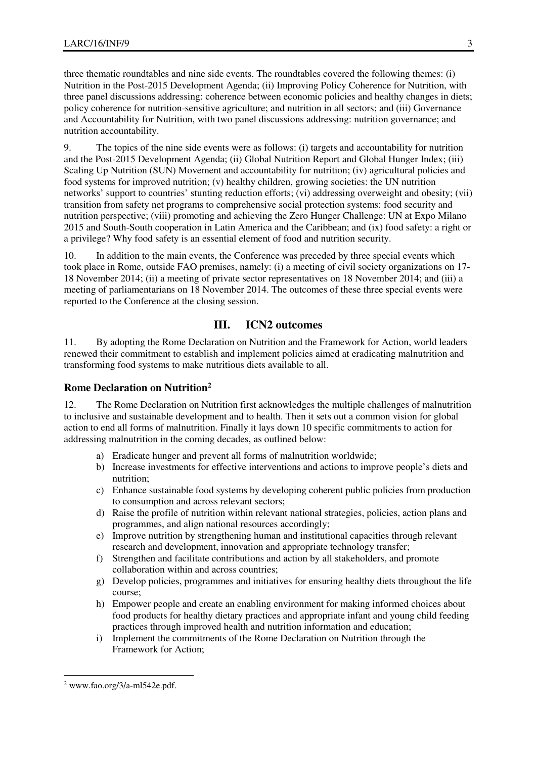three thematic roundtables and nine side events. The roundtables covered the following themes: (i) Nutrition in the Post-2015 Development Agenda; (ii) Improving Policy Coherence for Nutrition, with three panel discussions addressing: coherence between economic policies and healthy changes in diets; policy coherence for nutrition-sensitive agriculture; and nutrition in all sectors; and (iii) Governance and Accountability for Nutrition, with two panel discussions addressing: nutrition governance; and nutrition accountability.

9. The topics of the nine side events were as follows: (i) targets and accountability for nutrition and the Post-2015 Development Agenda; (ii) Global Nutrition Report and Global Hunger Index; (iii) Scaling Up Nutrition (SUN) Movement and accountability for nutrition; (iv) agricultural policies and food systems for improved nutrition; (v) healthy children, growing societies: the UN nutrition networks' support to countries' stunting reduction efforts; (vi) addressing overweight and obesity; (vii) transition from safety net programs to comprehensive social protection systems: food security and nutrition perspective; (viii) promoting and achieving the Zero Hunger Challenge: UN at Expo Milano 2015 and South-South cooperation in Latin America and the Caribbean; and (ix) food safety: a right or a privilege? Why food safety is an essential element of food and nutrition security.

10. In addition to the main events, the Conference was preceded by three special events which took place in Rome, outside FAO premises, namely: (i) a meeting of civil society organizations on 17- 18 November 2014; (ii) a meeting of private sector representatives on 18 November 2014; and (iii) a meeting of parliamentarians on 18 November 2014. The outcomes of these three special events were reported to the Conference at the closing session.

## **III. ICN2 outcomes**

11. By adopting the Rome Declaration on Nutrition and the Framework for Action, world leaders renewed their commitment to establish and implement policies aimed at eradicating malnutrition and transforming food systems to make nutritious diets available to all.

#### **Rome Declaration on Nutrition<sup>2</sup>**

12. The Rome Declaration on Nutrition first acknowledges the multiple challenges of malnutrition to inclusive and sustainable development and to health. Then it sets out a common vision for global action to end all forms of malnutrition. Finally it lays down 10 specific commitments to action for addressing malnutrition in the coming decades, as outlined below:

- a) Eradicate hunger and prevent all forms of malnutrition worldwide;
- b) Increase investments for effective interventions and actions to improve people's diets and nutrition;
- c) Enhance sustainable food systems by developing coherent public policies from production to consumption and across relevant sectors;
- d) Raise the profile of nutrition within relevant national strategies, policies, action plans and programmes, and align national resources accordingly;
- e) Improve nutrition by strengthening human and institutional capacities through relevant research and development, innovation and appropriate technology transfer;
- f) Strengthen and facilitate contributions and action by all stakeholders, and promote collaboration within and across countries;
- g) Develop policies, programmes and initiatives for ensuring healthy diets throughout the life course;
- h) Empower people and create an enabling environment for making informed choices about food products for healthy dietary practices and appropriate infant and young child feeding practices through improved health and nutrition information and education;
- i) Implement the commitments of the Rome Declaration on Nutrition through the Framework for Action;

 $\ddot{\phantom{a}}$  $2$  www.fao.org/3/a-ml542e.pdf.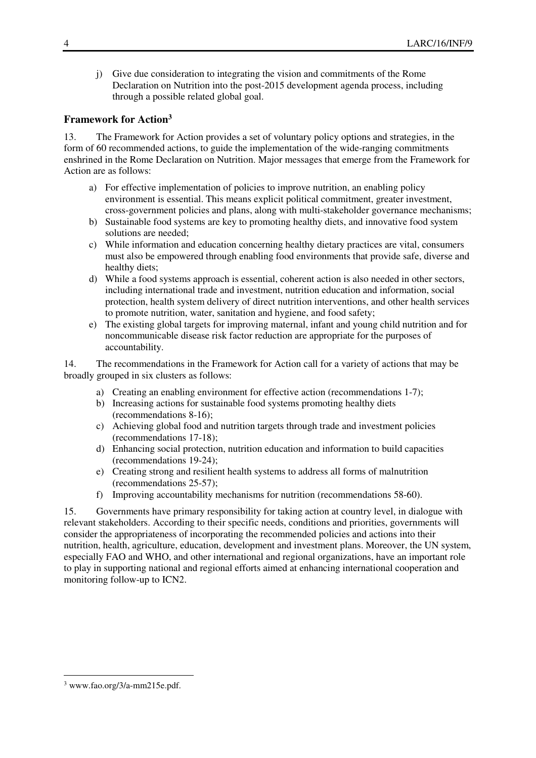j) Give due consideration to integrating the vision and commitments of the Rome Declaration on Nutrition into the post-2015 development agenda process, including through a possible related global goal.

## **Framework for Action<sup>3</sup>**

13. The Framework for Action provides a set of voluntary policy options and strategies, in the form of 60 recommended actions, to guide the implementation of the wide-ranging commitments enshrined in the Rome Declaration on Nutrition. Major messages that emerge from the Framework for Action are as follows:

- a) For effective implementation of policies to improve nutrition, an enabling policy environment is essential. This means explicit political commitment, greater investment, cross-government policies and plans, along with multi-stakeholder governance mechanisms;
- b) Sustainable food systems are key to promoting healthy diets, and innovative food system solutions are needed;
- c) While information and education concerning healthy dietary practices are vital, consumers must also be empowered through enabling food environments that provide safe, diverse and healthy diets;
- d) While a food systems approach is essential, coherent action is also needed in other sectors, including international trade and investment, nutrition education and information, social protection, health system delivery of direct nutrition interventions, and other health services to promote nutrition, water, sanitation and hygiene, and food safety;
- e) The existing global targets for improving maternal, infant and young child nutrition and for noncommunicable disease risk factor reduction are appropriate for the purposes of accountability.

14. The recommendations in the Framework for Action call for a variety of actions that may be broadly grouped in six clusters as follows:

- a) Creating an enabling environment for effective action (recommendations 1-7);
- b) Increasing actions for sustainable food systems promoting healthy diets (recommendations 8-16);
- c) Achieving global food and nutrition targets through trade and investment policies (recommendations 17-18);
- d) Enhancing social protection, nutrition education and information to build capacities (recommendations 19-24);
- e) Creating strong and resilient health systems to address all forms of malnutrition (recommendations 25-57);
- f) Improving accountability mechanisms for nutrition (recommendations 58-60).

15. Governments have primary responsibility for taking action at country level, in dialogue with relevant stakeholders. According to their specific needs, conditions and priorities, governments will consider the appropriateness of incorporating the recommended policies and actions into their nutrition, health, agriculture, education, development and investment plans. Moreover, the UN system, especially FAO and WHO, and other international and regional organizations, have an important role to play in supporting national and regional efforts aimed at enhancing international cooperation and monitoring follow-up to ICN2.

 $\ddot{\phantom{a}}$ 

<sup>3</sup> www.fao.org/3/a-mm215e.pdf.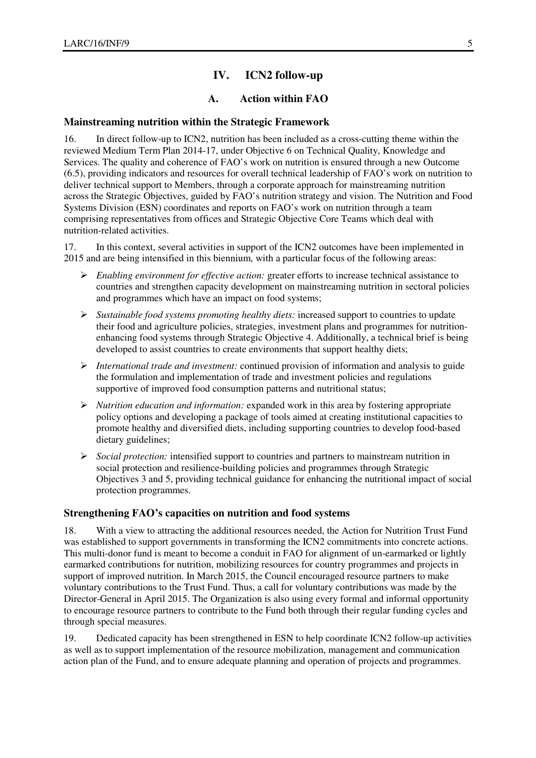## **IV. ICN2 follow-up**

## **A. Action within FAO**

#### **Mainstreaming nutrition within the Strategic Framework**

16. In direct follow-up to ICN2, nutrition has been included as a cross-cutting theme within the reviewed Medium Term Plan 2014-17, under Objective 6 on Technical Quality, Knowledge and Services. The quality and coherence of FAO's work on nutrition is ensured through a new Outcome (6.5), providing indicators and resources for overall technical leadership of FAO's work on nutrition to deliver technical support to Members, through a corporate approach for mainstreaming nutrition across the Strategic Objectives, guided by FAO's nutrition strategy and vision. The Nutrition and Food Systems Division (ESN) coordinates and reports on FAO's work on nutrition through a team comprising representatives from offices and Strategic Objective Core Teams which deal with nutrition-related activities.

17. In this context, several activities in support of the ICN2 outcomes have been implemented in 2015 and are being intensified in this biennium, with a particular focus of the following areas:

- *Enabling environment for effective action:* greater efforts to increase technical assistance to countries and strengthen capacity development on mainstreaming nutrition in sectoral policies and programmes which have an impact on food systems;
- *Sustainable food systems promoting healthy diets:* increased support to countries to update their food and agriculture policies, strategies, investment plans and programmes for nutritionenhancing food systems through Strategic Objective 4. Additionally, a technical brief is being developed to assist countries to create environments that support healthy diets;
- *International trade and investment:* continued provision of information and analysis to guide the formulation and implementation of trade and investment policies and regulations supportive of improved food consumption patterns and nutritional status;
- *Nutrition education and information:* expanded work in this area by fostering appropriate policy options and developing a package of tools aimed at creating institutional capacities to promote healthy and diversified diets, including supporting countries to develop food-based dietary guidelines;
- *Social protection:* intensified support to countries and partners to mainstream nutrition in social protection and resilience-building policies and programmes through Strategic Objectives 3 and 5, providing technical guidance for enhancing the nutritional impact of social protection programmes.

#### **Strengthening FAO's capacities on nutrition and food systems**

18. With a view to attracting the additional resources needed, the Action for Nutrition Trust Fund was established to support governments in transforming the ICN2 commitments into concrete actions. This multi-donor fund is meant to become a conduit in FAO for alignment of un-earmarked or lightly earmarked contributions for nutrition, mobilizing resources for country programmes and projects in support of improved nutrition. In March 2015, the Council encouraged resource partners to make voluntary contributions to the Trust Fund. Thus, a call for voluntary contributions was made by the Director-General in April 2015. The Organization is also using every formal and informal opportunity to encourage resource partners to contribute to the Fund both through their regular funding cycles and through special measures.

19. Dedicated capacity has been strengthened in ESN to help coordinate ICN2 follow-up activities as well as to support implementation of the resource mobilization, management and communication action plan of the Fund, and to ensure adequate planning and operation of projects and programmes.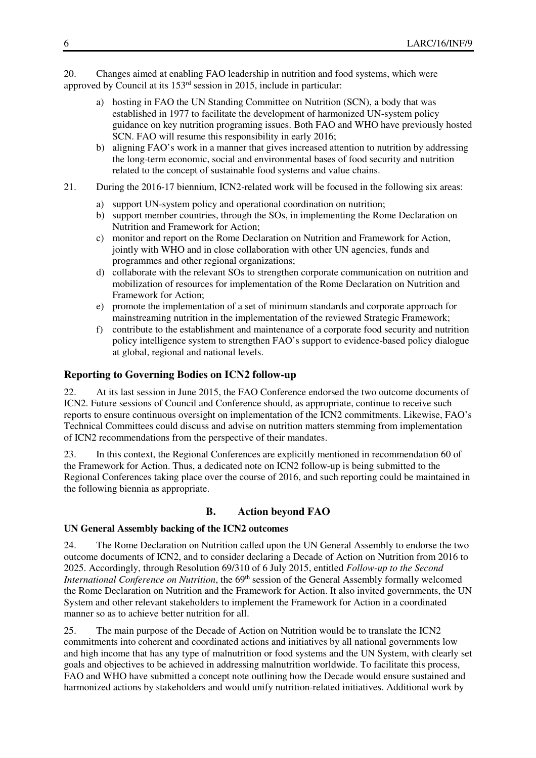20. Changes aimed at enabling FAO leadership in nutrition and food systems, which were approved by Council at its 153rd session in 2015, include in particular:

- a) hosting in FAO the UN Standing Committee on Nutrition (SCN), a body that was established in 1977 to facilitate the development of harmonized UN-system policy guidance on key nutrition programing issues. Both FAO and WHO have previously hosted SCN. FAO will resume this responsibility in early 2016;
- b) aligning FAO's work in a manner that gives increased attention to nutrition by addressing the long-term economic, social and environmental bases of food security and nutrition related to the concept of sustainable food systems and value chains.
- 21. During the 2016-17 biennium, ICN2-related work will be focused in the following six areas:
	- a) support UN-system policy and operational coordination on nutrition;
	- b) support member countries, through the SOs, in implementing the Rome Declaration on Nutrition and Framework for Action;
	- c) monitor and report on the Rome Declaration on Nutrition and Framework for Action, jointly with WHO and in close collaboration with other UN agencies, funds and programmes and other regional organizations;
	- d) collaborate with the relevant SOs to strengthen corporate communication on nutrition and mobilization of resources for implementation of the Rome Declaration on Nutrition and Framework for Action;
	- e) promote the implementation of a set of minimum standards and corporate approach for mainstreaming nutrition in the implementation of the reviewed Strategic Framework;
	- f) contribute to the establishment and maintenance of a corporate food security and nutrition policy intelligence system to strengthen FAO's support to evidence-based policy dialogue at global, regional and national levels.

## **Reporting to Governing Bodies on ICN2 follow-up**

22. At its last session in June 2015, the FAO Conference endorsed the two outcome documents of ICN2. Future sessions of Council and Conference should, as appropriate, continue to receive such reports to ensure continuous oversight on implementation of the ICN2 commitments. Likewise, FAO's Technical Committees could discuss and advise on nutrition matters stemming from implementation of ICN2 recommendations from the perspective of their mandates.

23. In this context, the Regional Conferences are explicitly mentioned in recommendation 60 of the Framework for Action. Thus, a dedicated note on ICN2 follow-up is being submitted to the Regional Conferences taking place over the course of 2016, and such reporting could be maintained in the following biennia as appropriate.

#### **B. Action beyond FAO**

#### **UN General Assembly backing of the ICN2 outcomes**

24. The Rome Declaration on Nutrition called upon the UN General Assembly to endorse the two outcome documents of ICN2, and to consider declaring a Decade of Action on Nutrition from 2016 to 2025. Accordingly, through Resolution 69/310 of 6 July 2015, entitled *Follow-up to the Second International Conference on Nutrition*, the 69<sup>th</sup> session of the General Assembly formally welcomed the Rome Declaration on Nutrition and the Framework for Action. It also invited governments, the UN System and other relevant stakeholders to implement the Framework for Action in a coordinated manner so as to achieve better nutrition for all.

25. The main purpose of the Decade of Action on Nutrition would be to translate the ICN2 commitments into coherent and coordinated actions and initiatives by all national governments low and high income that has any type of malnutrition or food systems and the UN System, with clearly set goals and objectives to be achieved in addressing malnutrition worldwide. To facilitate this process, FAO and WHO have submitted a concept note outlining how the Decade would ensure sustained and harmonized actions by stakeholders and would unify nutrition-related initiatives. Additional work by